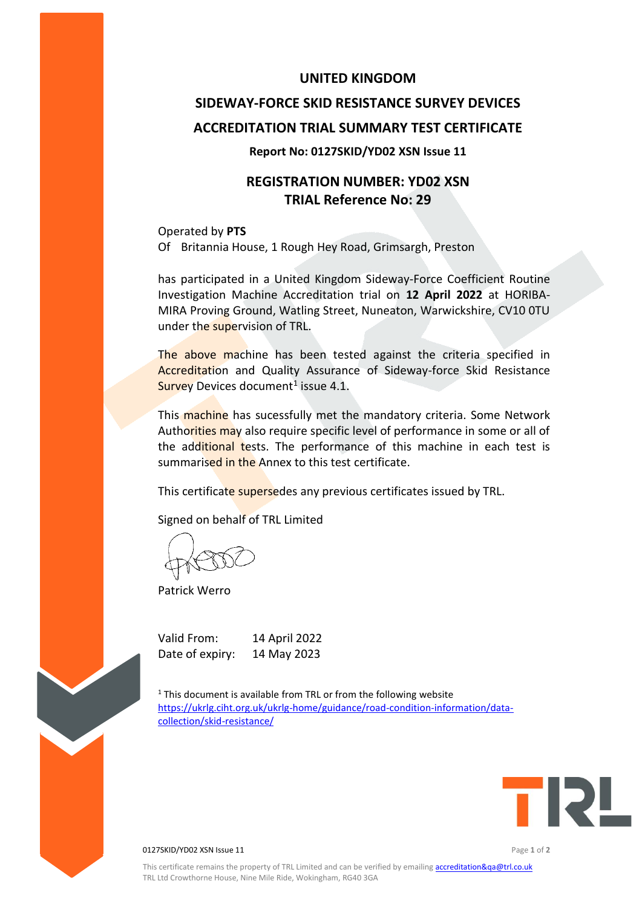#### **UNITED KINGDOM**

# **SIDEWAY-FORCE SKID RESISTANCE SURVEY DEVICES ACCREDITATION TRIAL SUMMARY TEST CERTIFICATE**

#### **Report No: 0127SKID/YD02 XSN Issue 11**

## **REGISTRATION NUMBER: YD02 XSN TRIAL Reference No: 29**

Operated by **PTS** Of Britannia House, 1 Rough Hey Road, Grimsargh, Preston

has participated in a United Kingdom Sideway-Force Coefficient Routine Investigation Machine Accreditation trial on **12 April 2022** at HORIBA-MIRA Proving Ground, Watling Street, Nuneaton, Warwickshire, CV10 0TU under the supervision of TRL.

The above machine has been tested against the criteria specified in Accreditation and Quality Assurance of Sideway-force Skid Resistance Survey Devices document<sup>1</sup> issue 4.1.

This machine has sucessfully met the mandatory criteria. Some Network Authorities may also require specific level of performance in some or all of the additional tests. The performance of this machine in each test is summarised in the Annex to this test certificate.

This certificate supersedes any previous certificates issued by TRL.

Signed on behalf of TRL Limited

Patrick Werro

Valid From: 14 April 2022 Date of expiry: 14 May 2023

 $1$ <sup>1</sup> This document is available from TRL or from the following website [https://ukrlg.ciht.org.uk/ukrlg-home/guidance/road-condition-information/data](https://ukrlg.ciht.org.uk/ukrlg-home/guidance/road-condition-information/data-collection/skid-resistance/)[collection/skid-resistance/](https://ukrlg.ciht.org.uk/ukrlg-home/guidance/road-condition-information/data-collection/skid-resistance/)



0127SKID/YD02 XSN Issue 11 Page **1** of **2**